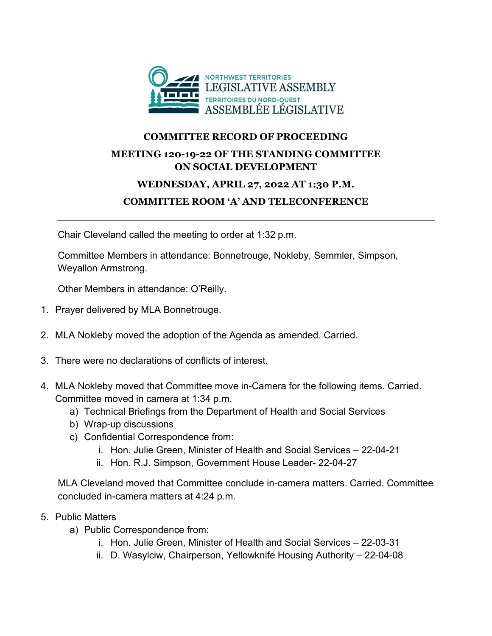

## **COMMITTEE RECORD OF PROCEEDING**

### **MEETING 120-19-22 OF THE STANDING COMMITTEE ON SOCIAL DEVELOPMENT**

# **WEDNESDAY, APRIL 27, 2022 AT 1:30 P.M.**

### **COMMITTEE ROOM 'A' AND TELECONFERENCE**

Chair Cleveland called the meeting to order at 1:32 p.m.

Committee Members in attendance: Bonnetrouge, Nokleby, Semmler, Simpson, Weyallon Armstrong.

Other Members in attendance: O'Reilly.

- 1. Prayer delivered by MLA Bonnetrouge.
- 2. MLA Nokleby moved the adoption of the Agenda as amended. Carried.
- 3. There were no declarations of conflicts of interest.
- 4. MLA Nokleby moved that Committee move in-Camera for the following items. Carried. Committee moved in camera at 1:34 p.m.
	- a) Technical Briefings from the Department of Health and Social Services
	- b) Wrap-up discussions
	- c) Confidential Correspondence from:
		- i. Hon. Julie Green, Minister of Health and Social Services 22-04-21
		- ii. Hon. R.J. Simpson, Government House Leader- 22-04-27

MLA Cleveland moved that Committee conclude in-camera matters. Carried. Committee concluded in-camera matters at 4:24 p.m.

#### 5. Public Matters

- a) Public Correspondence from:
	- i. Hon. Julie Green, Minister of Health and Social Services 22-03-31
	- ii. D. Wasylciw, Chairperson, Yellowknife Housing Authority 22-04-08